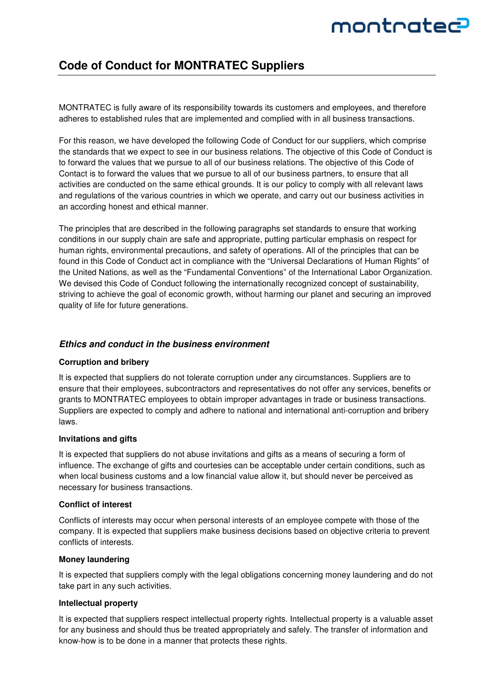# montratec

# **Code of Conduct for MONTRATEC Suppliers**

MONTRATEC is fully aware of its responsibility towards its customers and employees, and therefore adheres to established rules that are implemented and complied with in all business transactions.

For this reason, we have developed the following Code of Conduct for our suppliers, which comprise the standards that we expect to see in our business relations. The objective of this Code of Conduct is to forward the values that we pursue to all of our business relations. The objective of this Code of Contact is to forward the values that we pursue to all of our business partners, to ensure that all activities are conducted on the same ethical grounds. It is our policy to comply with all relevant laws and regulations of the various countries in which we operate, and carry out our business activities in an according honest and ethical manner.

The principles that are described in the following paragraphs set standards to ensure that working conditions in our supply chain are safe and appropriate, putting particular emphasis on respect for human rights, environmental precautions, and safety of operations. All of the principles that can be found in this Code of Conduct act in compliance with the "Universal Declarations of Human Rights" of the United Nations, as well as the "Fundamental Conventions" of the International Labor Organization. We devised this Code of Conduct following the internationally recognized concept of sustainability, striving to achieve the goal of economic growth, without harming our planet and securing an improved quality of life for future generations.

### **Ethics and conduct in the business environment**

#### **Corruption and bribery**

It is expected that suppliers do not tolerate corruption under any circumstances. Suppliers are to ensure that their employees, subcontractors and representatives do not offer any services, benefits or grants to MONTRATEC employees to obtain improper advantages in trade or business transactions. Suppliers are expected to comply and adhere to national and international anti-corruption and bribery laws.

#### **Invitations and gifts**

It is expected that suppliers do not abuse invitations and gifts as a means of securing a form of influence. The exchange of gifts and courtesies can be acceptable under certain conditions, such as when local business customs and a low financial value allow it, but should never be perceived as necessary for business transactions.

#### **Conflict of interest**

Conflicts of interests may occur when personal interests of an employee compete with those of the company. It is expected that suppliers make business decisions based on objective criteria to prevent conflicts of interests.

#### **Money laundering**

It is expected that suppliers comply with the legal obligations concerning money laundering and do not take part in any such activities.

#### **Intellectual property**

It is expected that suppliers respect intellectual property rights. Intellectual property is a valuable asset for any business and should thus be treated appropriately and safely. The transfer of information and know-how is to be done in a manner that protects these rights.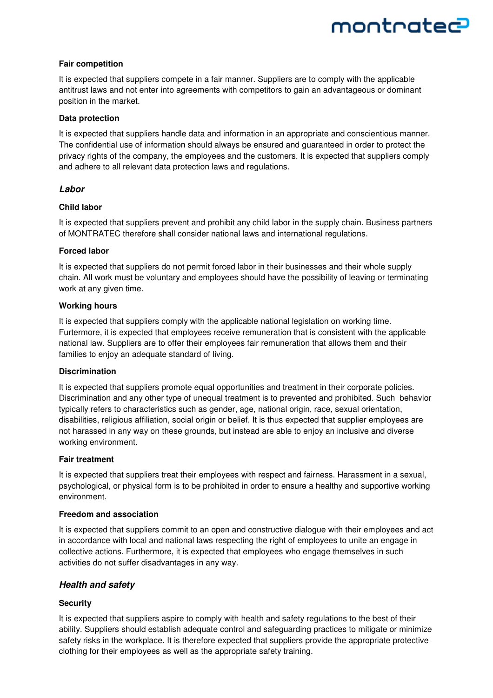# montratec

#### **Fair competition**

It is expected that suppliers compete in a fair manner. Suppliers are to comply with the applicable antitrust laws and not enter into agreements with competitors to gain an advantageous or dominant position in the market.

#### **Data protection**

It is expected that suppliers handle data and information in an appropriate and conscientious manner. The confidential use of information should always be ensured and guaranteed in order to protect the privacy rights of the company, the employees and the customers. It is expected that suppliers comply and adhere to all relevant data protection laws and regulations.

# **Labor**

### **Child labor**

It is expected that suppliers prevent and prohibit any child labor in the supply chain. Business partners of MONTRATEC therefore shall consider national laws and international regulations.

### **Forced labor**

It is expected that suppliers do not permit forced labor in their businesses and their whole supply chain. All work must be voluntary and employees should have the possibility of leaving or terminating work at any given time.

### **Working hours**

It is expected that suppliers comply with the applicable national legislation on working time. Furtermore, it is expected that employees receive remuneration that is consistent with the applicable national law. Suppliers are to offer their employees fair remuneration that allows them and their families to enjoy an adequate standard of living.

#### **Discrimination**

It is expected that suppliers promote equal opportunities and treatment in their corporate policies. Discrimination and any other type of unequal treatment is to prevented and prohibited. Such behavior typically refers to characteristics such as gender, age, national origin, race, sexual orientation, disabilities, religious affiliation, social origin or belief. It is thus expected that supplier employees are not harassed in any way on these grounds, but instead are able to enjoy an inclusive and diverse working environment.

#### **Fair treatment**

It is expected that suppliers treat their employees with respect and fairness. Harassment in a sexual, psychological, or physical form is to be prohibited in order to ensure a healthy and supportive working environment.

#### **Freedom and association**

It is expected that suppliers commit to an open and constructive dialogue with their employees and act in accordance with local and national laws respecting the right of employees to unite an engage in collective actions. Furthermore, it is expected that employees who engage themselves in such activities do not suffer disadvantages in any way.

# **Health and safety**

# **Security**

It is expected that suppliers aspire to comply with health and safety regulations to the best of their ability. Suppliers should establish adequate control and safeguarding practices to mitigate or minimize safety risks in the workplace. It is therefore expected that suppliers provide the appropriate protective clothing for their employees as well as the appropriate safety training.